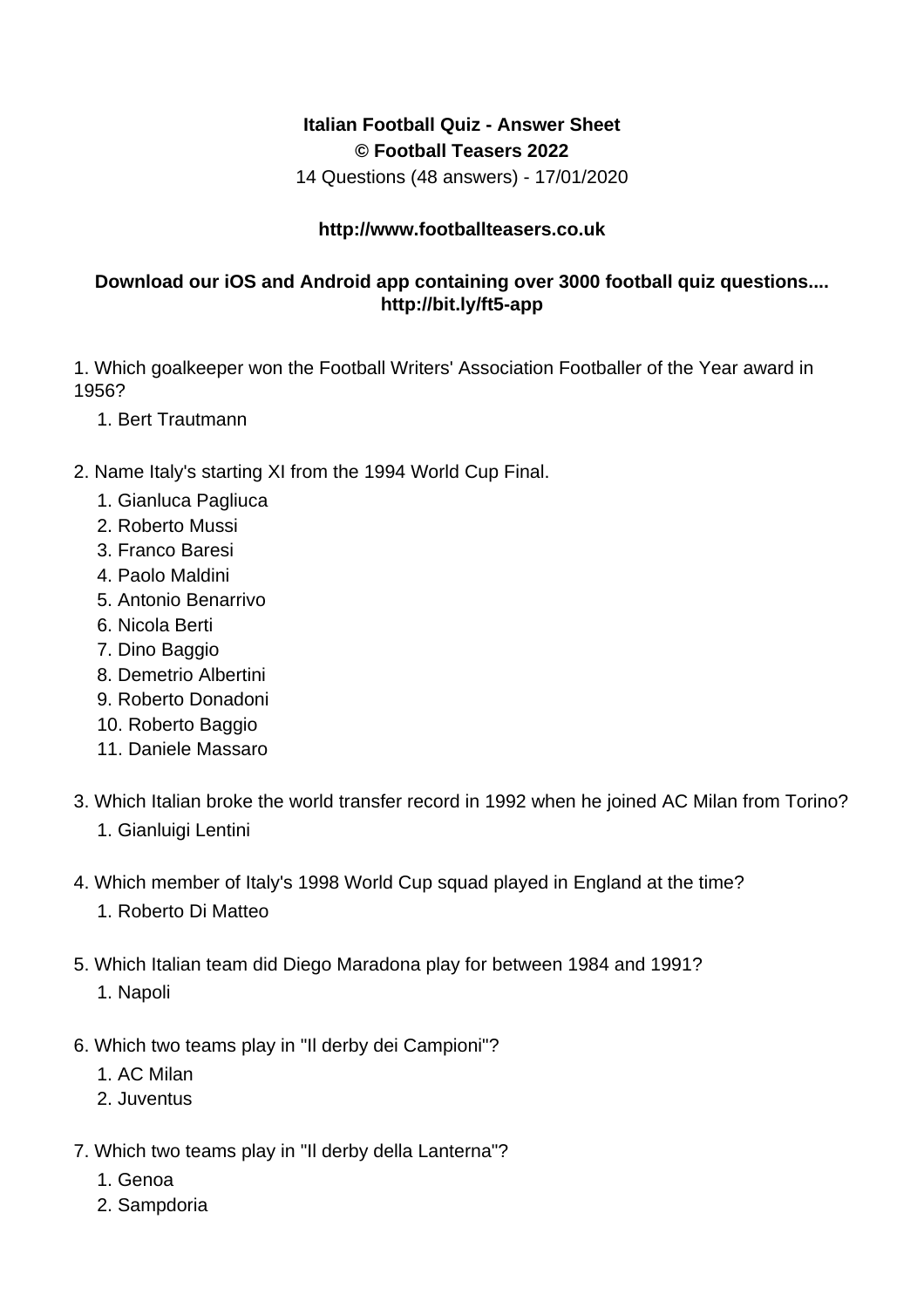## **Italian Football Quiz - Answer Sheet © Football Teasers 2022**

14 Questions (48 answers) - 17/01/2020

## **http://www.footballteasers.co.uk**

## **Download our iOS and Android app containing over 3000 football quiz questions.... http://bit.ly/ft5-app**

1. Which goalkeeper won the Football Writers' Association Footballer of the Year award in 1956?

- 1. Bert Trautmann
- 2. Name Italy's starting XI from the 1994 World Cup Final.
	- 1. Gianluca Pagliuca
	- 2. Roberto Mussi
	- 3. Franco Baresi
	- 4. Paolo Maldini
	- 5. Antonio Benarrivo
	- 6. Nicola Berti
	- 7. Dino Baggio
	- 8. Demetrio Albertini
	- 9. Roberto Donadoni
	- 10. Roberto Baggio
	- 11. Daniele Massaro
- 3. Which Italian broke the world transfer record in 1992 when he joined AC Milan from Torino?
	- 1. Gianluigi Lentini
- 4. Which member of Italy's 1998 World Cup squad played in England at the time?
	- 1. Roberto Di Matteo
- 5. Which Italian team did Diego Maradona play for between 1984 and 1991?
	- 1. Napoli
- 6. Which two teams play in "Il derby dei Campioni"?
	- 1. AC Milan
	- 2. Juventus
- 7. Which two teams play in "Il derby della Lanterna"?
	- 1. Genoa
	- 2. Sampdoria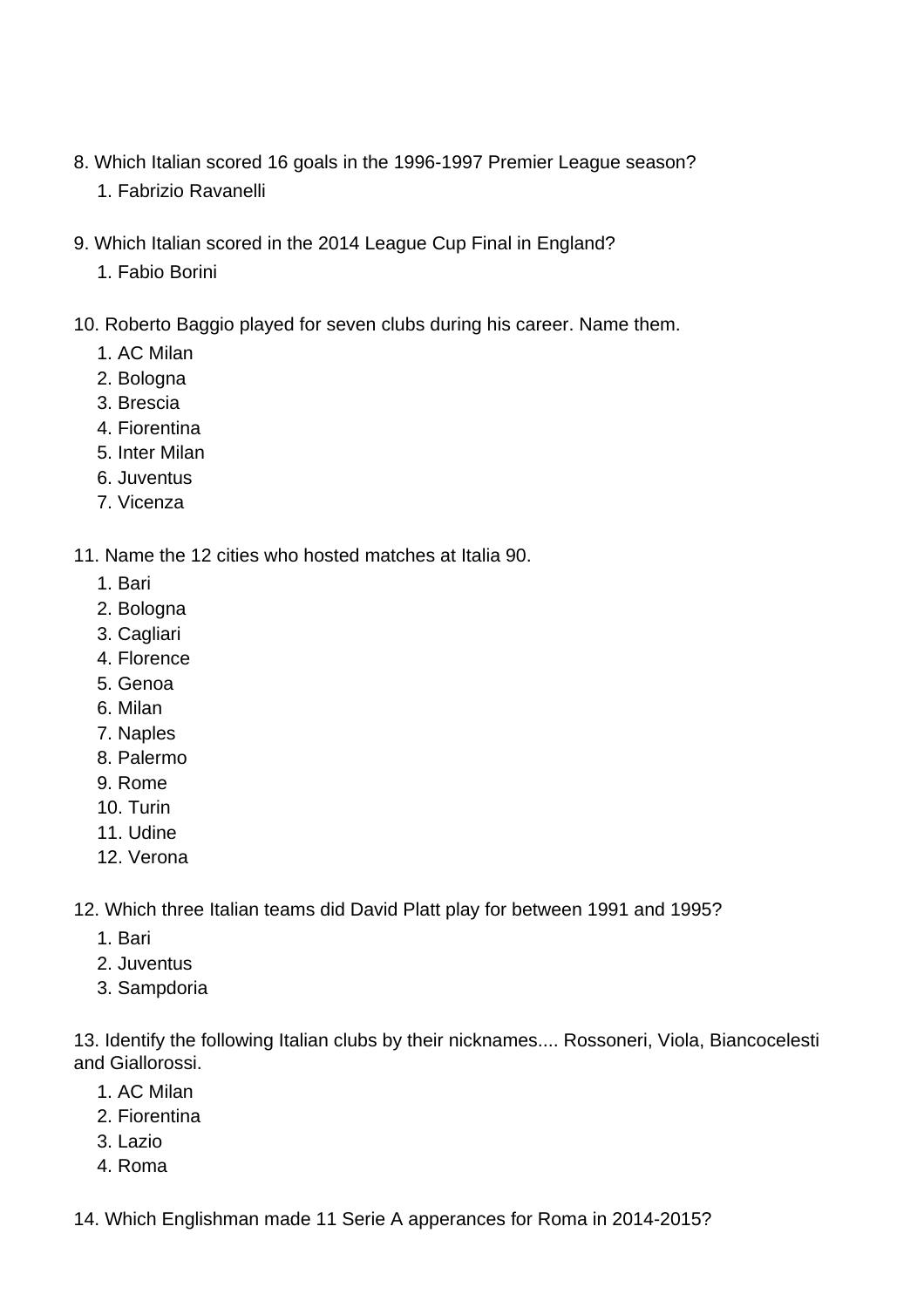- 8. Which Italian scored 16 goals in the 1996-1997 Premier League season?
	- 1. Fabrizio Ravanelli
- 9. Which Italian scored in the 2014 League Cup Final in England?
	- 1. Fabio Borini
- 10. Roberto Baggio played for seven clubs during his career. Name them.
	- 1. AC Milan
	- 2. Bologna
	- 3. Brescia
	- 4. Fiorentina
	- 5. Inter Milan
	- 6. Juventus
	- 7. Vicenza

11. Name the 12 cities who hosted matches at Italia 90.

- 1. Bari
- 2. Bologna
- 3. Cagliari
- 4. Florence
- 5. Genoa
- 6. Milan
- 7. Naples
- 8. Palermo
- 9. Rome
- 10. Turin
- 11. Udine
- 12. Verona

12. Which three Italian teams did David Platt play for between 1991 and 1995?

- 1. Bari
- 2. Juventus
- 3. Sampdoria

13. Identify the following Italian clubs by their nicknames.... Rossoneri, Viola, Biancocelesti and Giallorossi.

- 1. AC Milan
- 2. Fiorentina
- 3. Lazio
- 4. Roma

14. Which Englishman made 11 Serie A apperances for Roma in 2014-2015?